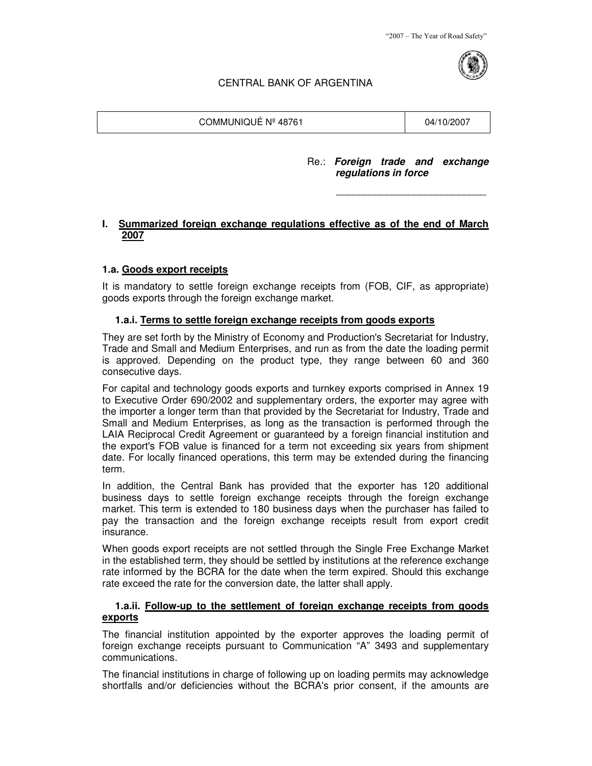"2007 – The Year of Road Safety"



# CENTRAL BANK OF ARGENTINA

COMMUNIQUÉ Nº 48761 04/10/2007

#### Re.: **Foreign trade and exchange regulations in force**

### **I. Summarized foreign exchange regulations effective as of the end of March 2007**

 $\mathcal{L}_\text{max}$  , and the set of the set of the set of the set of the set of the set of the set of the set of the set of the set of the set of the set of the set of the set of the set of the set of the set of the set of the

### **1.a. Goods export receipts**

It is mandatory to settle foreign exchange receipts from (FOB, CIF, as appropriate) goods exports through the foreign exchange market.

### **1.a.i. Terms to settle foreign exchange receipts from goods exports**

They are set forth by the Ministry of Economy and Production's Secretariat for Industry, Trade and Small and Medium Enterprises, and run as from the date the loading permit is approved. Depending on the product type, they range between 60 and 360 consecutive days.

For capital and technology goods exports and turnkey exports comprised in Annex 19 to Executive Order 690/2002 and supplementary orders, the exporter may agree with the importer a longer term than that provided by the Secretariat for Industry, Trade and Small and Medium Enterprises, as long as the transaction is performed through the LAIA Reciprocal Credit Agreement or guaranteed by a foreign financial institution and the export's FOB value is financed for a term not exceeding six years from shipment date. For locally financed operations, this term may be extended during the financing term.

In addition, the Central Bank has provided that the exporter has 120 additional business days to settle foreign exchange receipts through the foreign exchange market. This term is extended to 180 business days when the purchaser has failed to pay the transaction and the foreign exchange receipts result from export credit insurance.

When goods export receipts are not settled through the Single Free Exchange Market in the established term, they should be settled by institutions at the reference exchange rate informed by the BCRA for the date when the term expired. Should this exchange rate exceed the rate for the conversion date, the latter shall apply.

## **1.a.ii. Follow-up to the settlement of foreign exchange receipts from goods exports**

The financial institution appointed by the exporter approves the loading permit of foreign exchange receipts pursuant to Communication "A" 3493 and supplementary communications.

The financial institutions in charge of following up on loading permits may acknowledge shortfalls and/or deficiencies without the BCRA's prior consent, if the amounts are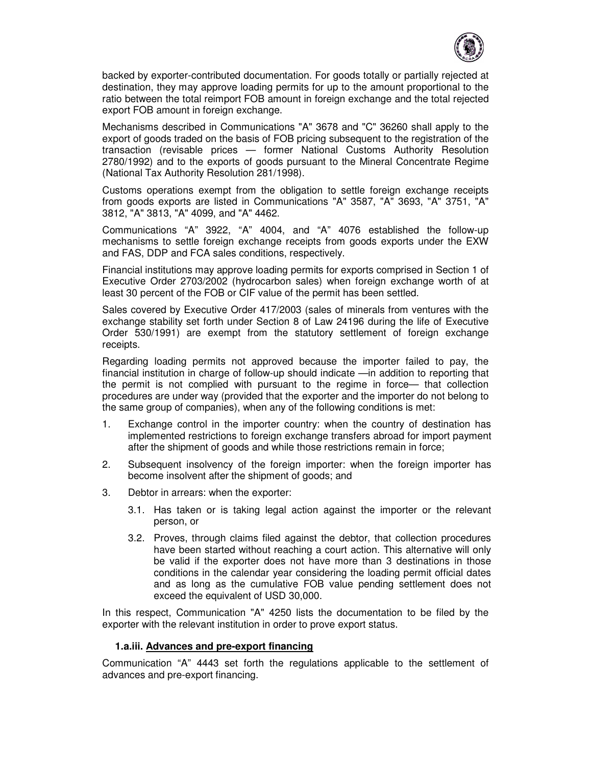

backed by exporter-contributed documentation. For goods totally or partially rejected at destination, they may approve loading permits for up to the amount proportional to the ratio between the total reimport FOB amount in foreign exchange and the total rejected export FOB amount in foreign exchange.

Mechanisms described in Communications "A" 3678 and "C" 36260 shall apply to the export of goods traded on the basis of FOB pricing subsequent to the registration of the transaction (revisable prices — former National Customs Authority Resolution 2780/1992) and to the exports of goods pursuant to the Mineral Concentrate Regime (National Tax Authority Resolution 281/1998).

Customs operations exempt from the obligation to settle foreign exchange receipts from goods exports are listed in Communications "A" 3587, "A" 3693, "A" 3751, "A" 3812, "A" 3813, "A" 4099, and "A" 4462.

Communications "A" 3922, "A" 4004, and "A" 4076 established the follow-up mechanisms to settle foreign exchange receipts from goods exports under the EXW and FAS, DDP and FCA sales conditions, respectively.

Financial institutions may approve loading permits for exports comprised in Section 1 of Executive Order 2703/2002 (hydrocarbon sales) when foreign exchange worth of at least 30 percent of the FOB or CIF value of the permit has been settled.

Sales covered by Executive Order 417/2003 (sales of minerals from ventures with the exchange stability set forth under Section 8 of Law 24196 during the life of Executive Order 530/1991) are exempt from the statutory settlement of foreign exchange receipts.

Regarding loading permits not approved because the importer failed to pay, the financial institution in charge of follow-up should indicate —in addition to reporting that the permit is not complied with pursuant to the regime in force— that collection procedures are under way (provided that the exporter and the importer do not belong to the same group of companies), when any of the following conditions is met:

- 1. Exchange control in the importer country: when the country of destination has implemented restrictions to foreign exchange transfers abroad for import payment after the shipment of goods and while those restrictions remain in force;
- 2. Subsequent insolvency of the foreign importer: when the foreign importer has become insolvent after the shipment of goods; and
- 3. Debtor in arrears: when the exporter:
	- 3.1. Has taken or is taking legal action against the importer or the relevant person, or
	- 3.2. Proves, through claims filed against the debtor, that collection procedures have been started without reaching a court action. This alternative will only be valid if the exporter does not have more than 3 destinations in those conditions in the calendar year considering the loading permit official dates and as long as the cumulative FOB value pending settlement does not exceed the equivalent of USD 30,000.

In this respect, Communication "A" 4250 lists the documentation to be filed by the exporter with the relevant institution in order to prove export status.

#### **1.a.iii. Advances and pre-export financing**

Communication "A" 4443 set forth the regulations applicable to the settlement of advances and pre-export financing.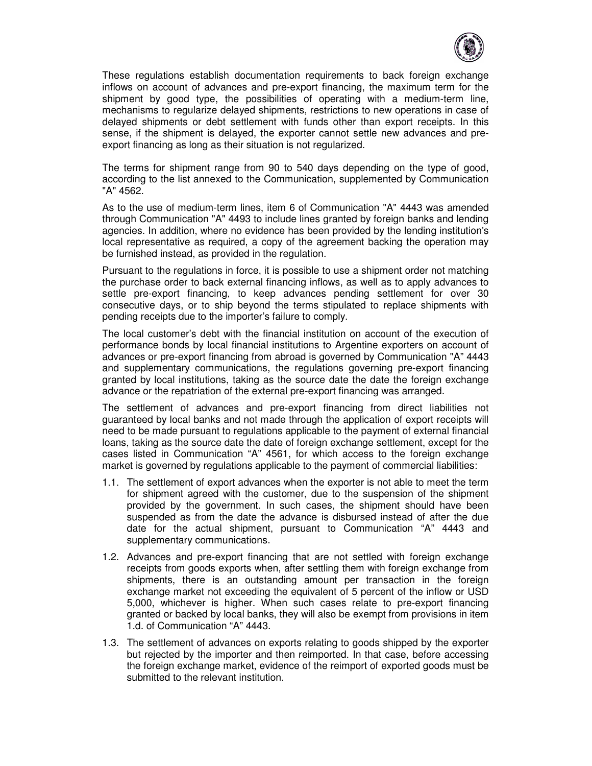

These regulations establish documentation requirements to back foreign exchange inflows on account of advances and pre-export financing, the maximum term for the shipment by good type, the possibilities of operating with a medium-term line, mechanisms to regularize delayed shipments, restrictions to new operations in case of delayed shipments or debt settlement with funds other than export receipts. In this sense, if the shipment is delayed, the exporter cannot settle new advances and preexport financing as long as their situation is not regularized.

The terms for shipment range from 90 to 540 days depending on the type of good, according to the list annexed to the Communication, supplemented by Communication "A" 4562.

As to the use of medium-term lines, item 6 of Communication "A" 4443 was amended through Communication "A" 4493 to include lines granted by foreign banks and lending agencies. In addition, where no evidence has been provided by the lending institution's local representative as required, a copy of the agreement backing the operation may be furnished instead, as provided in the regulation.

Pursuant to the regulations in force, it is possible to use a shipment order not matching the purchase order to back external financing inflows, as well as to apply advances to settle pre-export financing, to keep advances pending settlement for over 30 consecutive days, or to ship beyond the terms stipulated to replace shipments with pending receipts due to the importer's failure to comply.

The local customer's debt with the financial institution on account of the execution of performance bonds by local financial institutions to Argentine exporters on account of advances or pre-export financing from abroad is governed by Communication "A" 4443 and supplementary communications, the regulations governing pre-export financing granted by local institutions, taking as the source date the date the foreign exchange advance or the repatriation of the external pre-export financing was arranged.

The settlement of advances and pre-export financing from direct liabilities not guaranteed by local banks and not made through the application of export receipts will need to be made pursuant to regulations applicable to the payment of external financial loans, taking as the source date the date of foreign exchange settlement, except for the cases listed in Communication "A" 4561, for which access to the foreign exchange market is governed by regulations applicable to the payment of commercial liabilities:

- 1.1. The settlement of export advances when the exporter is not able to meet the term for shipment agreed with the customer, due to the suspension of the shipment provided by the government. In such cases, the shipment should have been suspended as from the date the advance is disbursed instead of after the due date for the actual shipment, pursuant to Communication "A" 4443 and supplementary communications.
- 1.2. Advances and pre-export financing that are not settled with foreign exchange receipts from goods exports when, after settling them with foreign exchange from shipments, there is an outstanding amount per transaction in the foreign exchange market not exceeding the equivalent of 5 percent of the inflow or USD 5,000, whichever is higher. When such cases relate to pre-export financing granted or backed by local banks, they will also be exempt from provisions in item 1.d. of Communication "A" 4443.
- 1.3. The settlement of advances on exports relating to goods shipped by the exporter but rejected by the importer and then reimported. In that case, before accessing the foreign exchange market, evidence of the reimport of exported goods must be submitted to the relevant institution.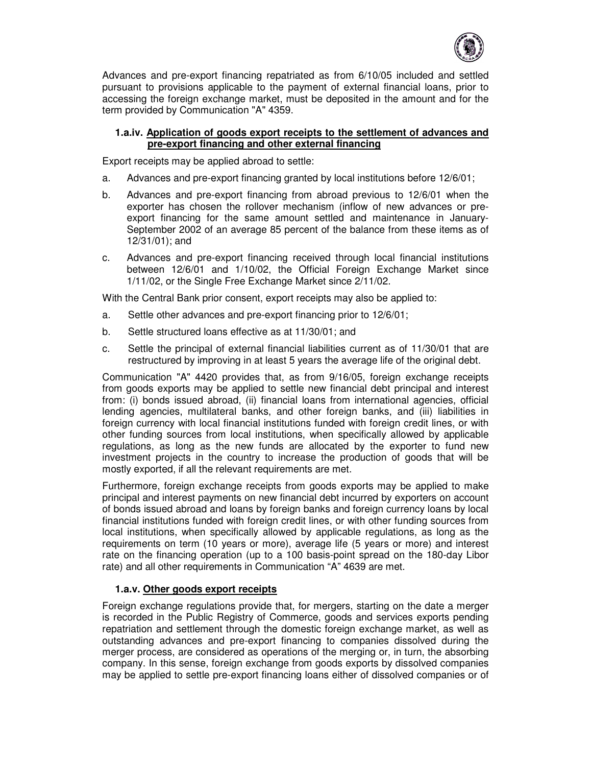

Advances and pre-export financing repatriated as from 6/10/05 included and settled pursuant to provisions applicable to the payment of external financial loans, prior to accessing the foreign exchange market, must be deposited in the amount and for the term provided by Communication "A" 4359.

### **1.a.iv. Application of goods export receipts to the settlement of advances and pre-export financing and other external financing**

Export receipts may be applied abroad to settle:

- a. Advances and pre-export financing granted by local institutions before 12/6/01;
- b. Advances and pre-export financing from abroad previous to 12/6/01 when the exporter has chosen the rollover mechanism (inflow of new advances or preexport financing for the same amount settled and maintenance in January-September 2002 of an average 85 percent of the balance from these items as of 12/31/01); and
- c. Advances and pre-export financing received through local financial institutions between 12/6/01 and 1/10/02, the Official Foreign Exchange Market since 1/11/02, or the Single Free Exchange Market since 2/11/02.

With the Central Bank prior consent, export receipts may also be applied to:

- a. Settle other advances and pre-export financing prior to 12/6/01;
- b. Settle structured loans effective as at 11/30/01; and
- c. Settle the principal of external financial liabilities current as of 11/30/01 that are restructured by improving in at least 5 years the average life of the original debt.

Communication "A" 4420 provides that, as from 9/16/05, foreign exchange receipts from goods exports may be applied to settle new financial debt principal and interest from: (i) bonds issued abroad, (ii) financial loans from international agencies, official lending agencies, multilateral banks, and other foreign banks, and (iii) liabilities in foreign currency with local financial institutions funded with foreign credit lines, or with other funding sources from local institutions, when specifically allowed by applicable regulations, as long as the new funds are allocated by the exporter to fund new investment projects in the country to increase the production of goods that will be mostly exported, if all the relevant requirements are met.

Furthermore, foreign exchange receipts from goods exports may be applied to make principal and interest payments on new financial debt incurred by exporters on account of bonds issued abroad and loans by foreign banks and foreign currency loans by local financial institutions funded with foreign credit lines, or with other funding sources from local institutions, when specifically allowed by applicable regulations, as long as the requirements on term (10 years or more), average life (5 years or more) and interest rate on the financing operation (up to a 100 basis-point spread on the 180-day Libor rate) and all other requirements in Communication "A" 4639 are met.

### **1.a.v. Other goods export receipts**

Foreign exchange regulations provide that, for mergers, starting on the date a merger is recorded in the Public Registry of Commerce, goods and services exports pending repatriation and settlement through the domestic foreign exchange market, as well as outstanding advances and pre-export financing to companies dissolved during the merger process, are considered as operations of the merging or, in turn, the absorbing company. In this sense, foreign exchange from goods exports by dissolved companies may be applied to settle pre-export financing loans either of dissolved companies or of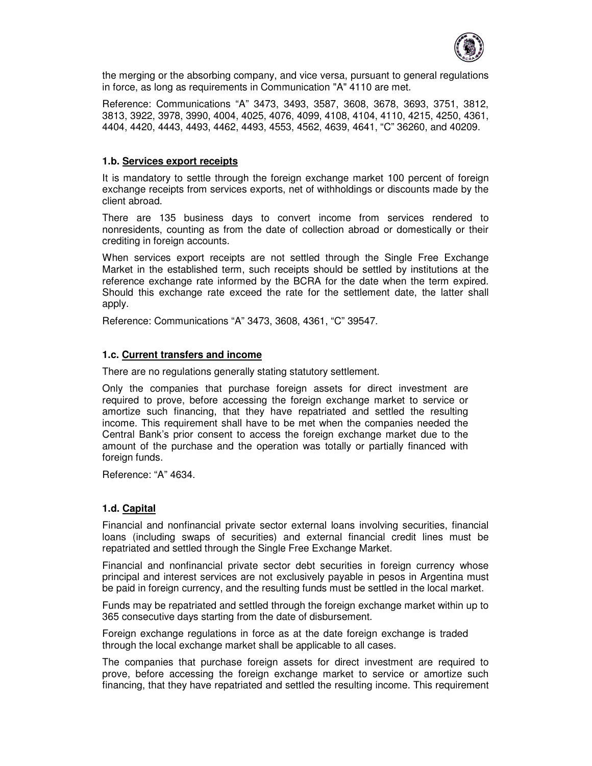

the merging or the absorbing company, and vice versa, pursuant to general regulations in force, as long as requirements in Communication "A" 4110 are met.

Reference: Communications "A" 3473, 3493, 3587, 3608, 3678, 3693, 3751, 3812, 3813, 3922, 3978, 3990, 4004, 4025, 4076, 4099, 4108, 4104, 4110, 4215, 4250, 4361, 4404, 4420, 4443, 4493, 4462, 4493, 4553, 4562, 4639, 4641, "C" 36260, and 40209.

### **1.b. Services export receipts**

It is mandatory to settle through the foreign exchange market 100 percent of foreign exchange receipts from services exports, net of withholdings or discounts made by the client abroad.

There are 135 business days to convert income from services rendered to nonresidents, counting as from the date of collection abroad or domestically or their crediting in foreign accounts.

When services export receipts are not settled through the Single Free Exchange Market in the established term, such receipts should be settled by institutions at the reference exchange rate informed by the BCRA for the date when the term expired. Should this exchange rate exceed the rate for the settlement date, the latter shall apply.

Reference: Communications "A" 3473, 3608, 4361, "C" 39547.

### **1.c. Current transfers and income**

There are no regulations generally stating statutory settlement.

Only the companies that purchase foreign assets for direct investment are required to prove, before accessing the foreign exchange market to service or amortize such financing, that they have repatriated and settled the resulting income. This requirement shall have to be met when the companies needed the Central Bank's prior consent to access the foreign exchange market due to the amount of the purchase and the operation was totally or partially financed with foreign funds.

Reference: "A" 4634.

### **1.d. Capital**

Financial and nonfinancial private sector external loans involving securities, financial loans (including swaps of securities) and external financial credit lines must be repatriated and settled through the Single Free Exchange Market.

Financial and nonfinancial private sector debt securities in foreign currency whose principal and interest services are not exclusively payable in pesos in Argentina must be paid in foreign currency, and the resulting funds must be settled in the local market.

Funds may be repatriated and settled through the foreign exchange market within up to 365 consecutive days starting from the date of disbursement.

Foreign exchange regulations in force as at the date foreign exchange is traded through the local exchange market shall be applicable to all cases.

The companies that purchase foreign assets for direct investment are required to prove, before accessing the foreign exchange market to service or amortize such financing, that they have repatriated and settled the resulting income. This requirement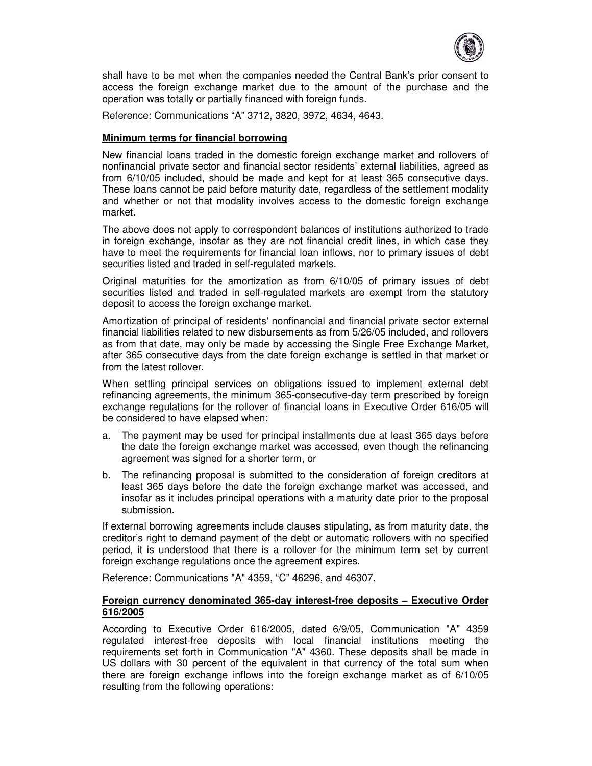

shall have to be met when the companies needed the Central Bank's prior consent to access the foreign exchange market due to the amount of the purchase and the operation was totally or partially financed with foreign funds.

Reference: Communications "A" 3712, 3820, 3972, 4634, 4643.

### **Minimum terms for financial borrowing**

New financial loans traded in the domestic foreign exchange market and rollovers of nonfinancial private sector and financial sector residents' external liabilities, agreed as from 6/10/05 included, should be made and kept for at least 365 consecutive days. These loans cannot be paid before maturity date, regardless of the settlement modality and whether or not that modality involves access to the domestic foreign exchange market.

The above does not apply to correspondent balances of institutions authorized to trade in foreign exchange, insofar as they are not financial credit lines, in which case they have to meet the requirements for financial loan inflows, nor to primary issues of debt securities listed and traded in self-regulated markets.

Original maturities for the amortization as from 6/10/05 of primary issues of debt securities listed and traded in self-regulated markets are exempt from the statutory deposit to access the foreign exchange market.

Amortization of principal of residents' nonfinancial and financial private sector external financial liabilities related to new disbursements as from 5/26/05 included, and rollovers as from that date, may only be made by accessing the Single Free Exchange Market, after 365 consecutive days from the date foreign exchange is settled in that market or from the latest rollover.

When settling principal services on obligations issued to implement external debt refinancing agreements, the minimum 365-consecutive-day term prescribed by foreign exchange regulations for the rollover of financial loans in Executive Order 616/05 will be considered to have elapsed when:

- a. The payment may be used for principal installments due at least 365 days before the date the foreign exchange market was accessed, even though the refinancing agreement was signed for a shorter term, or
- b. The refinancing proposal is submitted to the consideration of foreign creditors at least 365 days before the date the foreign exchange market was accessed, and insofar as it includes principal operations with a maturity date prior to the proposal submission.

If external borrowing agreements include clauses stipulating, as from maturity date, the creditor's right to demand payment of the debt or automatic rollovers with no specified period, it is understood that there is a rollover for the minimum term set by current foreign exchange regulations once the agreement expires.

Reference: Communications "A" 4359, "C" 46296, and 46307.

#### **Foreign currency denominated 365-day interest-free deposits – Executive Order 616/2005**

According to Executive Order 616/2005, dated 6/9/05, Communication "A" 4359 regulated interest-free deposits with local financial institutions meeting the requirements set forth in Communication "A" 4360. These deposits shall be made in US dollars with 30 percent of the equivalent in that currency of the total sum when there are foreign exchange inflows into the foreign exchange market as of 6/10/05 resulting from the following operations: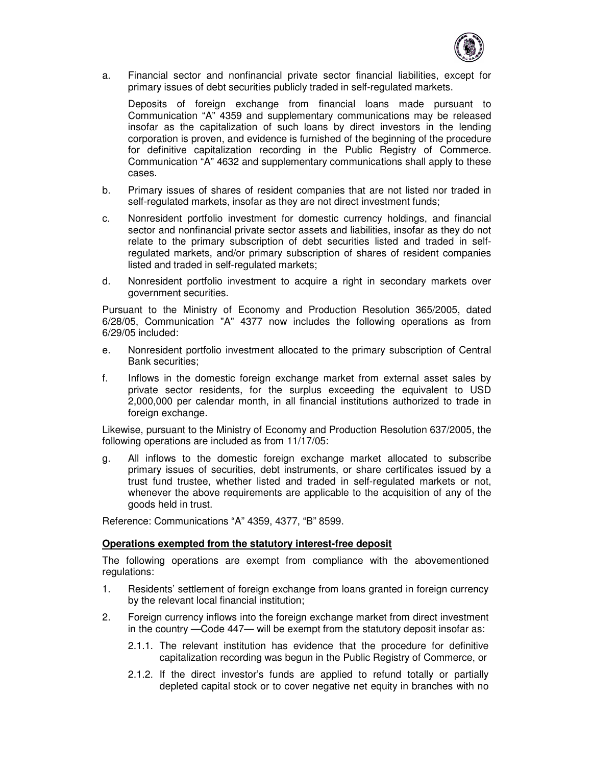

a. Financial sector and nonfinancial private sector financial liabilities, except for primary issues of debt securities publicly traded in self-regulated markets.

Deposits of foreign exchange from financial loans made pursuant to Communication "A" 4359 and supplementary communications may be released insofar as the capitalization of such loans by direct investors in the lending corporation is proven, and evidence is furnished of the beginning of the procedure for definitive capitalization recording in the Public Registry of Commerce. Communication "A" 4632 and supplementary communications shall apply to these cases.

- b. Primary issues of shares of resident companies that are not listed nor traded in self-regulated markets, insofar as they are not direct investment funds;
- c. Nonresident portfolio investment for domestic currency holdings, and financial sector and nonfinancial private sector assets and liabilities, insofar as they do not relate to the primary subscription of debt securities listed and traded in selfregulated markets, and/or primary subscription of shares of resident companies listed and traded in self-regulated markets;
- d. Nonresident portfolio investment to acquire a right in secondary markets over government securities.

Pursuant to the Ministry of Economy and Production Resolution 365/2005, dated 6/28/05, Communication "A" 4377 now includes the following operations as from 6/29/05 included:

- e. Nonresident portfolio investment allocated to the primary subscription of Central Bank securities;
- f. Inflows in the domestic foreign exchange market from external asset sales by private sector residents, for the surplus exceeding the equivalent to USD 2,000,000 per calendar month, in all financial institutions authorized to trade in foreign exchange.

Likewise, pursuant to the Ministry of Economy and Production Resolution 637/2005, the following operations are included as from 11/17/05:

g. All inflows to the domestic foreign exchange market allocated to subscribe primary issues of securities, debt instruments, or share certificates issued by a trust fund trustee, whether listed and traded in self-regulated markets or not, whenever the above requirements are applicable to the acquisition of any of the goods held in trust.

Reference: Communications "A" 4359, 4377, "B" 8599.

#### **Operations exempted from the statutory interest-free deposit**

The following operations are exempt from compliance with the abovementioned regulations:

- 1. Residents' settlement of foreign exchange from loans granted in foreign currency by the relevant local financial institution;
- 2. Foreign currency inflows into the foreign exchange market from direct investment in the country —Code 447— will be exempt from the statutory deposit insofar as:
	- 2.1.1. The relevant institution has evidence that the procedure for definitive capitalization recording was begun in the Public Registry of Commerce, or
	- 2.1.2. If the direct investor's funds are applied to refund totally or partially depleted capital stock or to cover negative net equity in branches with no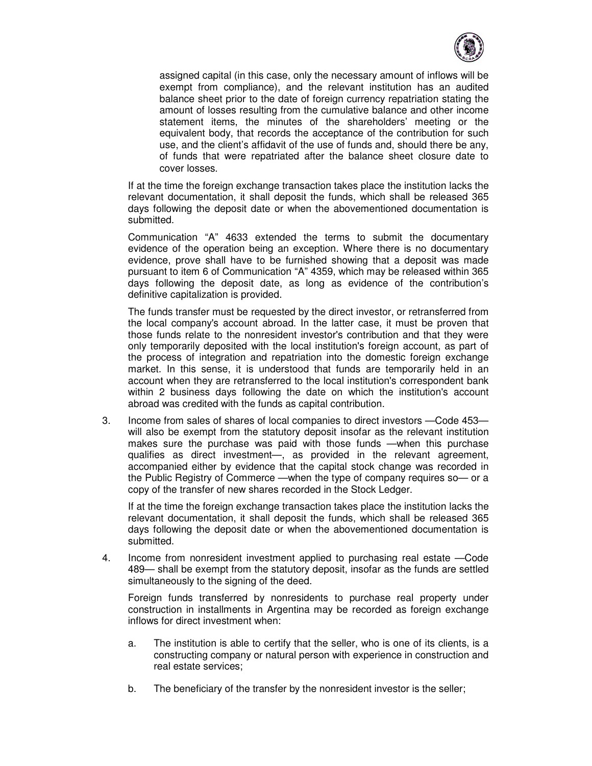

assigned capital (in this case, only the necessary amount of inflows will be exempt from compliance), and the relevant institution has an audited balance sheet prior to the date of foreign currency repatriation stating the amount of losses resulting from the cumulative balance and other income statement items, the minutes of the shareholders' meeting or the equivalent body, that records the acceptance of the contribution for such use, and the client's affidavit of the use of funds and, should there be any, of funds that were repatriated after the balance sheet closure date to cover losses.

If at the time the foreign exchange transaction takes place the institution lacks the relevant documentation, it shall deposit the funds, which shall be released 365 days following the deposit date or when the abovementioned documentation is submitted.

Communication "A" 4633 extended the terms to submit the documentary evidence of the operation being an exception. Where there is no documentary evidence, prove shall have to be furnished showing that a deposit was made pursuant to item 6 of Communication "A" 4359, which may be released within 365 days following the deposit date, as long as evidence of the contribution's definitive capitalization is provided.

The funds transfer must be requested by the direct investor, or retransferred from the local company's account abroad. In the latter case, it must be proven that those funds relate to the nonresident investor's contribution and that they were only temporarily deposited with the local institution's foreign account, as part of the process of integration and repatriation into the domestic foreign exchange market. In this sense, it is understood that funds are temporarily held in an account when they are retransferred to the local institution's correspondent bank within 2 business days following the date on which the institution's account abroad was credited with the funds as capital contribution.

3. Income from sales of shares of local companies to direct investors —Code 453 will also be exempt from the statutory deposit insofar as the relevant institution makes sure the purchase was paid with those funds —when this purchase qualifies as direct investment—, as provided in the relevant agreement, accompanied either by evidence that the capital stock change was recorded in the Public Registry of Commerce —when the type of company requires so— or a copy of the transfer of new shares recorded in the Stock Ledger.

If at the time the foreign exchange transaction takes place the institution lacks the relevant documentation, it shall deposit the funds, which shall be released 365 days following the deposit date or when the abovementioned documentation is submitted.

4. Income from nonresident investment applied to purchasing real estate —Code 489— shall be exempt from the statutory deposit, insofar as the funds are settled simultaneously to the signing of the deed.

Foreign funds transferred by nonresidents to purchase real property under construction in installments in Argentina may be recorded as foreign exchange inflows for direct investment when:

- a. The institution is able to certify that the seller, who is one of its clients, is a constructing company or natural person with experience in construction and real estate services;
- b. The beneficiary of the transfer by the nonresident investor is the seller;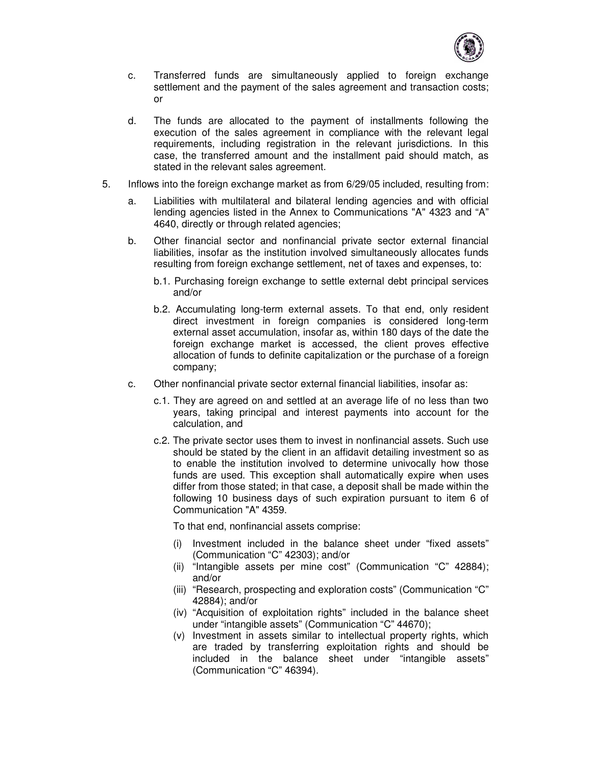

- c. Transferred funds are simultaneously applied to foreign exchange settlement and the payment of the sales agreement and transaction costs; or
- d. The funds are allocated to the payment of installments following the execution of the sales agreement in compliance with the relevant legal requirements, including registration in the relevant jurisdictions. In this case, the transferred amount and the installment paid should match, as stated in the relevant sales agreement.
- 5. Inflows into the foreign exchange market as from 6/29/05 included, resulting from:
	- a. Liabilities with multilateral and bilateral lending agencies and with official lending agencies listed in the Annex to Communications "A" 4323 and "A" 4640, directly or through related agencies;
	- b. Other financial sector and nonfinancial private sector external financial liabilities, insofar as the institution involved simultaneously allocates funds resulting from foreign exchange settlement, net of taxes and expenses, to:
		- b.1. Purchasing foreign exchange to settle external debt principal services and/or
		- b.2. Accumulating long-term external assets. To that end, only resident direct investment in foreign companies is considered long-term external asset accumulation, insofar as, within 180 days of the date the foreign exchange market is accessed, the client proves effective allocation of funds to definite capitalization or the purchase of a foreign company;
	- c. Other nonfinancial private sector external financial liabilities, insofar as:
		- c.1. They are agreed on and settled at an average life of no less than two years, taking principal and interest payments into account for the calculation, and
		- c.2. The private sector uses them to invest in nonfinancial assets. Such use should be stated by the client in an affidavit detailing investment so as to enable the institution involved to determine univocally how those funds are used. This exception shall automatically expire when uses differ from those stated; in that case, a deposit shall be made within the following 10 business days of such expiration pursuant to item 6 of Communication "A" 4359.

To that end, nonfinancial assets comprise:

- (i) Investment included in the balance sheet under "fixed assets" (Communication "C" 42303); and/or
- (ii) "Intangible assets per mine cost" (Communication "C" 42884); and/or
- (iii) "Research, prospecting and exploration costs" (Communication "C" 42884); and/or
- (iv) "Acquisition of exploitation rights" included in the balance sheet under "intangible assets" (Communication "C" 44670);
- (v) Investment in assets similar to intellectual property rights, which are traded by transferring exploitation rights and should be included in the balance sheet under "intangible assets" (Communication "C" 46394).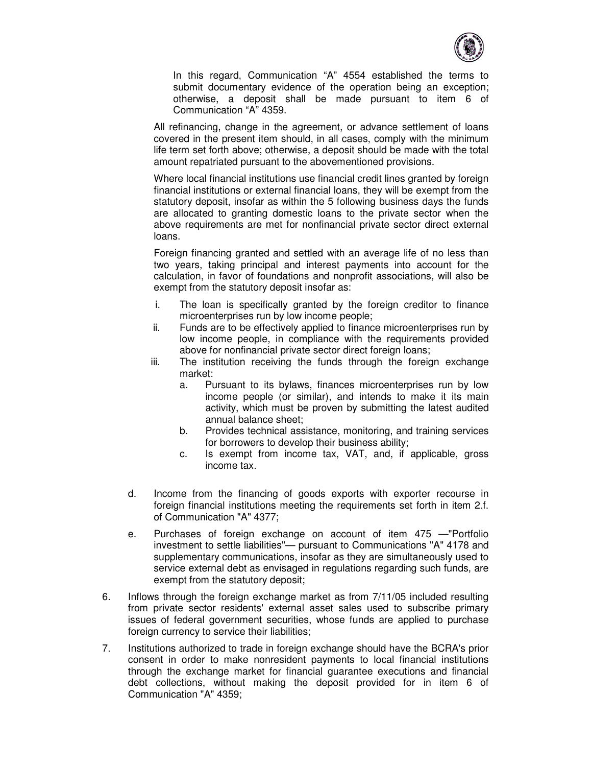

In this regard, Communication "A" 4554 established the terms to submit documentary evidence of the operation being an exception; otherwise, a deposit shall be made pursuant to item 6 of Communication "A" 4359.

All refinancing, change in the agreement, or advance settlement of loans covered in the present item should, in all cases, comply with the minimum life term set forth above; otherwise, a deposit should be made with the total amount repatriated pursuant to the abovementioned provisions.

Where local financial institutions use financial credit lines granted by foreign financial institutions or external financial loans, they will be exempt from the statutory deposit, insofar as within the 5 following business days the funds are allocated to granting domestic loans to the private sector when the above requirements are met for nonfinancial private sector direct external loans.

Foreign financing granted and settled with an average life of no less than two years, taking principal and interest payments into account for the calculation, in favor of foundations and nonprofit associations, will also be exempt from the statutory deposit insofar as:

- i. The loan is specifically granted by the foreign creditor to finance microenterprises run by low income people;
- ii. Funds are to be effectively applied to finance microenterprises run by low income people, in compliance with the requirements provided above for nonfinancial private sector direct foreign loans;
- iii. The institution receiving the funds through the foreign exchange market:
	- a. Pursuant to its bylaws, finances microenterprises run by low income people (or similar), and intends to make it its main activity, which must be proven by submitting the latest audited annual balance sheet;
	- b. Provides technical assistance, monitoring, and training services for borrowers to develop their business ability;
	- c. Is exempt from income tax, VAT, and, if applicable, gross income tax.
- d. Income from the financing of goods exports with exporter recourse in foreign financial institutions meeting the requirements set forth in item 2.f. of Communication "A" 4377;
- e. Purchases of foreign exchange on account of item 475 —"Portfolio investment to settle liabilities"— pursuant to Communications "A" 4178 and supplementary communications, insofar as they are simultaneously used to service external debt as envisaged in regulations regarding such funds, are exempt from the statutory deposit;
- 6. Inflows through the foreign exchange market as from 7/11/05 included resulting from private sector residents' external asset sales used to subscribe primary issues of federal government securities, whose funds are applied to purchase foreign currency to service their liabilities;
- 7. Institutions authorized to trade in foreign exchange should have the BCRA's prior consent in order to make nonresident payments to local financial institutions through the exchange market for financial guarantee executions and financial debt collections, without making the deposit provided for in item 6 of Communication "A" 4359;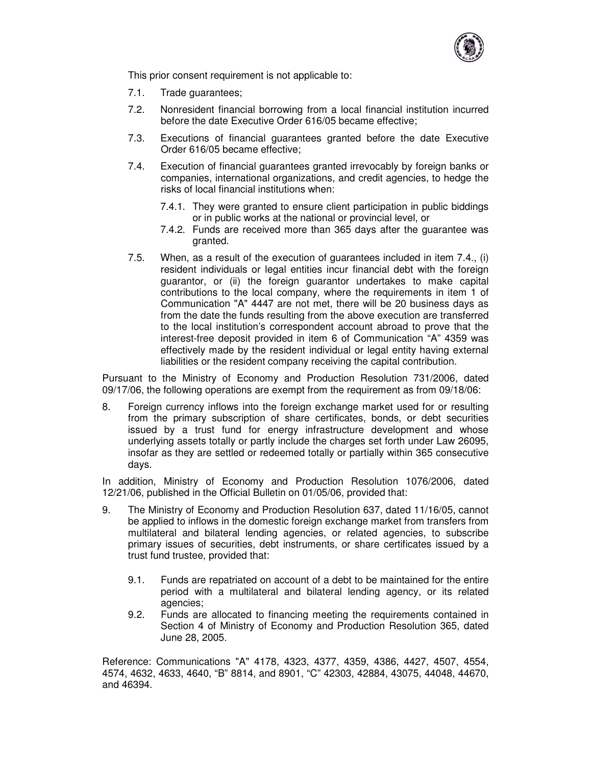

This prior consent requirement is not applicable to:

- 7.1. Trade guarantees;
- 7.2. Nonresident financial borrowing from a local financial institution incurred before the date Executive Order 616/05 became effective;
- 7.3. Executions of financial guarantees granted before the date Executive Order 616/05 became effective;
- 7.4. Execution of financial guarantees granted irrevocably by foreign banks or companies, international organizations, and credit agencies, to hedge the risks of local financial institutions when:
	- 7.4.1. They were granted to ensure client participation in public biddings or in public works at the national or provincial level, or
	- 7.4.2. Funds are received more than 365 days after the guarantee was granted.
- 7.5. When, as a result of the execution of guarantees included in item 7.4., (i) resident individuals or legal entities incur financial debt with the foreign guarantor, or (ii) the foreign guarantor undertakes to make capital contributions to the local company, where the requirements in item 1 of Communication "A" 4447 are not met, there will be 20 business days as from the date the funds resulting from the above execution are transferred to the local institution's correspondent account abroad to prove that the interest-free deposit provided in item 6 of Communication "A" 4359 was effectively made by the resident individual or legal entity having external liabilities or the resident company receiving the capital contribution.

Pursuant to the Ministry of Economy and Production Resolution 731/2006, dated 09/17/06, the following operations are exempt from the requirement as from 09/18/06:

8. Foreign currency inflows into the foreign exchange market used for or resulting from the primary subscription of share certificates, bonds, or debt securities issued by a trust fund for energy infrastructure development and whose underlying assets totally or partly include the charges set forth under Law 26095, insofar as they are settled or redeemed totally or partially within 365 consecutive days.

In addition, Ministry of Economy and Production Resolution 1076/2006, dated 12/21/06, published in the Official Bulletin on 01/05/06, provided that:

- 9. The Ministry of Economy and Production Resolution 637, dated 11/16/05, cannot be applied to inflows in the domestic foreign exchange market from transfers from multilateral and bilateral lending agencies, or related agencies, to subscribe primary issues of securities, debt instruments, or share certificates issued by a trust fund trustee, provided that:
	- 9.1. Funds are repatriated on account of a debt to be maintained for the entire period with a multilateral and bilateral lending agency, or its related agencies;
	- 9.2. Funds are allocated to financing meeting the requirements contained in Section 4 of Ministry of Economy and Production Resolution 365, dated June 28, 2005.

Reference: Communications "A" 4178, 4323, 4377, 4359, 4386, 4427, 4507, 4554, 4574, 4632, 4633, 4640, "B" 8814, and 8901, "C" 42303, 42884, 43075, 44048, 44670, and 46394.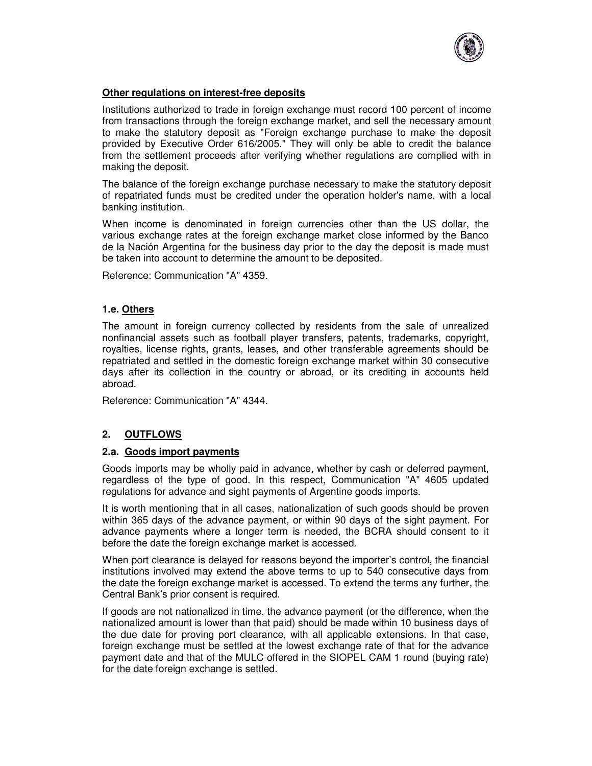

# **Other regulations on interest-free deposits**

Institutions authorized to trade in foreign exchange must record 100 percent of income from transactions through the foreign exchange market, and sell the necessary amount to make the statutory deposit as "Foreign exchange purchase to make the deposit provided by Executive Order 616/2005." They will only be able to credit the balance from the settlement proceeds after verifying whether regulations are complied with in making the deposit.

The balance of the foreign exchange purchase necessary to make the statutory deposit of repatriated funds must be credited under the operation holder's name, with a local banking institution.

When income is denominated in foreign currencies other than the US dollar, the various exchange rates at the foreign exchange market close informed by the Banco de la Nación Argentina for the business day prior to the day the deposit is made must be taken into account to determine the amount to be deposited.

Reference: Communication "A" 4359.

# **1.e. Others**

The amount in foreign currency collected by residents from the sale of unrealized nonfinancial assets such as football player transfers, patents, trademarks, copyright, royalties, license rights, grants, leases, and other transferable agreements should be repatriated and settled in the domestic foreign exchange market within 30 consecutive days after its collection in the country or abroad, or its crediting in accounts held abroad.

Reference: Communication "A" 4344.

### **2. OUTFLOWS**

### **2.a. Goods import payments**

Goods imports may be wholly paid in advance, whether by cash or deferred payment, regardless of the type of good. In this respect, Communication "A" 4605 updated regulations for advance and sight payments of Argentine goods imports.

It is worth mentioning that in all cases, nationalization of such goods should be proven within 365 days of the advance payment, or within 90 days of the sight payment. For advance payments where a longer term is needed, the BCRA should consent to it before the date the foreign exchange market is accessed.

When port clearance is delayed for reasons beyond the importer's control, the financial institutions involved may extend the above terms to up to 540 consecutive days from the date the foreign exchange market is accessed. To extend the terms any further, the Central Bank's prior consent is required.

If goods are not nationalized in time, the advance payment (or the difference, when the nationalized amount is lower than that paid) should be made within 10 business days of the due date for proving port clearance, with all applicable extensions. In that case, foreign exchange must be settled at the lowest exchange rate of that for the advance payment date and that of the MULC offered in the SIOPEL CAM 1 round (buying rate) for the date foreign exchange is settled.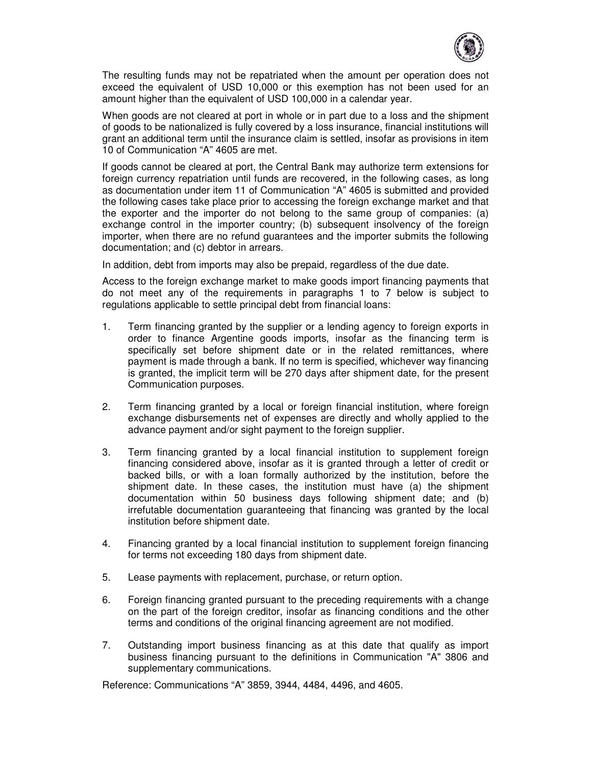

The resulting funds may not be repatriated when the amount per operation does not exceed the equivalent of USD 10,000 or this exemption has not been used for an amount higher than the equivalent of USD 100,000 in a calendar year.

When goods are not cleared at port in whole or in part due to a loss and the shipment of goods to be nationalized is fully covered by a loss insurance, financial institutions will grant an additional term until the insurance claim is settled, insofar as provisions in item 10 of Communication "A" 4605 are met.

If goods cannot be cleared at port, the Central Bank may authorize term extensions for foreign currency repatriation until funds are recovered, in the following cases, as long as documentation under item 11 of Communication "A" 4605 is submitted and provided the following cases take place prior to accessing the foreign exchange market and that the exporter and the importer do not belong to the same group of companies: (a) exchange control in the importer country; (b) subsequent insolvency of the foreign importer, when there are no refund guarantees and the importer submits the following documentation; and (c) debtor in arrears.

In addition, debt from imports may also be prepaid, regardless of the due date.

Access to the foreign exchange market to make goods import financing payments that do not meet any of the requirements in paragraphs 1 to 7 below is subject to regulations applicable to settle principal debt from financial loans:

- 1. Term financing granted by the supplier or a lending agency to foreign exports in order to finance Argentine goods imports, insofar as the financing term is specifically set before shipment date or in the related remittances, where payment is made through a bank. If no term is specified, whichever way financing is granted, the implicit term will be 270 days after shipment date, for the present Communication purposes.
- 2. Term financing granted by a local or foreign financial institution, where foreign exchange disbursements net of expenses are directly and wholly applied to the advance payment and/or sight payment to the foreign supplier.
- 3. Term financing granted by a local financial institution to supplement foreign financing considered above, insofar as it is granted through a letter of credit or backed bills, or with a loan formally authorized by the institution, before the shipment date. In these cases, the institution must have (a) the shipment documentation within 50 business days following shipment date; and (b) irrefutable documentation guaranteeing that financing was granted by the local institution before shipment date.
- 4. Financing granted by a local financial institution to supplement foreign financing for terms not exceeding 180 days from shipment date.
- 5. Lease payments with replacement, purchase, or return option.
- 6. Foreign financing granted pursuant to the preceding requirements with a change on the part of the foreign creditor, insofar as financing conditions and the other terms and conditions of the original financing agreement are not modified.
- 7. Outstanding import business financing as at this date that qualify as import business financing pursuant to the definitions in Communication "A" 3806 and supplementary communications.

Reference: Communications "A" 3859, 3944, 4484, 4496, and 4605.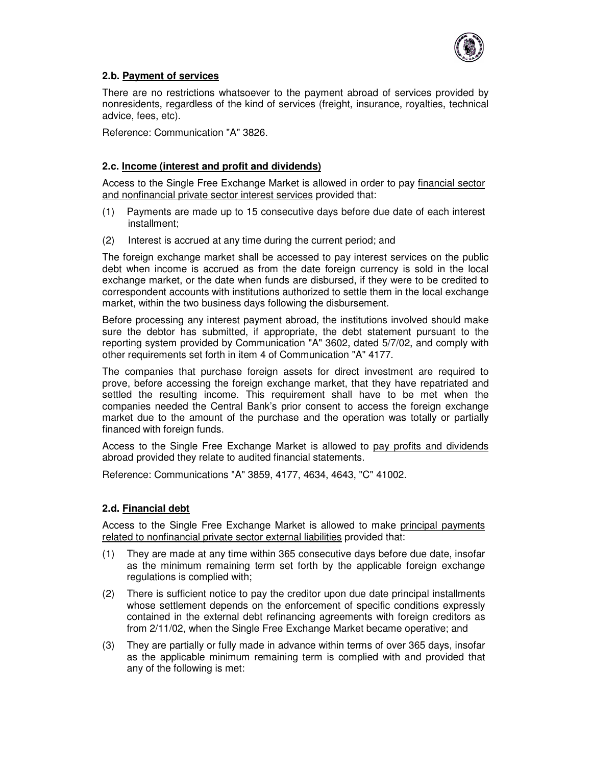

# **2.b. Payment of services**

There are no restrictions whatsoever to the payment abroad of services provided by nonresidents, regardless of the kind of services (freight, insurance, royalties, technical advice, fees, etc).

Reference: Communication "A" 3826.

## **2.c. Income (interest and profit and dividends)**

Access to the Single Free Exchange Market is allowed in order to pay financial sector and nonfinancial private sector interest services provided that:

- (1) Payments are made up to 15 consecutive days before due date of each interest installment;
- (2) Interest is accrued at any time during the current period; and

The foreign exchange market shall be accessed to pay interest services on the public debt when income is accrued as from the date foreign currency is sold in the local exchange market, or the date when funds are disbursed, if they were to be credited to correspondent accounts with institutions authorized to settle them in the local exchange market, within the two business days following the disbursement.

Before processing any interest payment abroad, the institutions involved should make sure the debtor has submitted, if appropriate, the debt statement pursuant to the reporting system provided by Communication "A" 3602, dated 5/7/02, and comply with other requirements set forth in item 4 of Communication "A" 4177.

The companies that purchase foreign assets for direct investment are required to prove, before accessing the foreign exchange market, that they have repatriated and settled the resulting income. This requirement shall have to be met when the companies needed the Central Bank's prior consent to access the foreign exchange market due to the amount of the purchase and the operation was totally or partially financed with foreign funds.

Access to the Single Free Exchange Market is allowed to pay profits and dividends abroad provided they relate to audited financial statements.

Reference: Communications "A" 3859, 4177, 4634, 4643, "C" 41002.

# **2.d. Financial debt**

Access to the Single Free Exchange Market is allowed to make principal payments related to nonfinancial private sector external liabilities provided that:

- (1) They are made at any time within 365 consecutive days before due date, insofar as the minimum remaining term set forth by the applicable foreign exchange regulations is complied with;
- (2) There is sufficient notice to pay the creditor upon due date principal installments whose settlement depends on the enforcement of specific conditions expressly contained in the external debt refinancing agreements with foreign creditors as from 2/11/02, when the Single Free Exchange Market became operative; and
- (3) They are partially or fully made in advance within terms of over 365 days, insofar as the applicable minimum remaining term is complied with and provided that any of the following is met: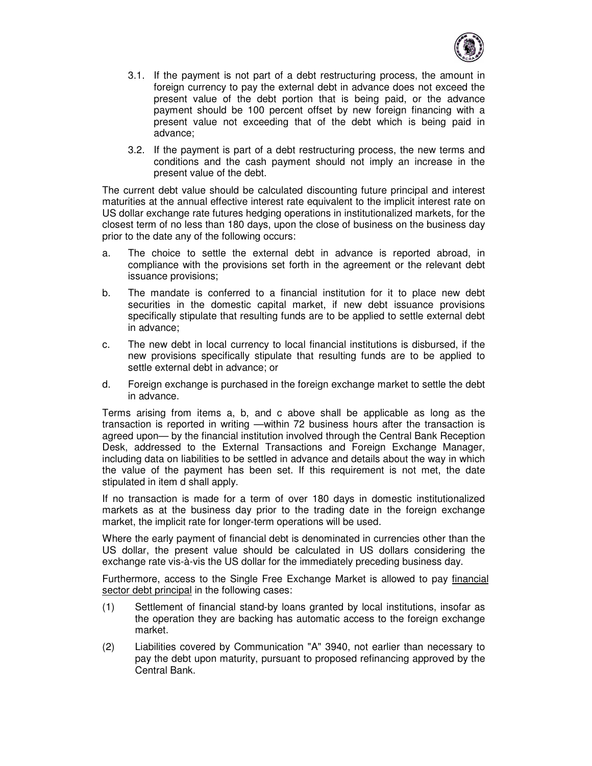

- 3.1. If the payment is not part of a debt restructuring process, the amount in foreign currency to pay the external debt in advance does not exceed the present value of the debt portion that is being paid, or the advance payment should be 100 percent offset by new foreign financing with a present value not exceeding that of the debt which is being paid in advance;
- 3.2. If the payment is part of a debt restructuring process, the new terms and conditions and the cash payment should not imply an increase in the present value of the debt.

The current debt value should be calculated discounting future principal and interest maturities at the annual effective interest rate equivalent to the implicit interest rate on US dollar exchange rate futures hedging operations in institutionalized markets, for the closest term of no less than 180 days, upon the close of business on the business day prior to the date any of the following occurs:

- a. The choice to settle the external debt in advance is reported abroad, in compliance with the provisions set forth in the agreement or the relevant debt issuance provisions;
- b. The mandate is conferred to a financial institution for it to place new debt securities in the domestic capital market, if new debt issuance provisions specifically stipulate that resulting funds are to be applied to settle external debt in advance;
- c. The new debt in local currency to local financial institutions is disbursed, if the new provisions specifically stipulate that resulting funds are to be applied to settle external debt in advance; or
- d. Foreign exchange is purchased in the foreign exchange market to settle the debt in advance.

Terms arising from items a, b, and c above shall be applicable as long as the transaction is reported in writing —within 72 business hours after the transaction is agreed upon— by the financial institution involved through the Central Bank Reception Desk, addressed to the External Transactions and Foreign Exchange Manager, including data on liabilities to be settled in advance and details about the way in which the value of the payment has been set. If this requirement is not met, the date stipulated in item d shall apply.

If no transaction is made for a term of over 180 days in domestic institutionalized markets as at the business day prior to the trading date in the foreign exchange market, the implicit rate for longer-term operations will be used.

Where the early payment of financial debt is denominated in currencies other than the US dollar, the present value should be calculated in US dollars considering the exchange rate vis-à-vis the US dollar for the immediately preceding business day.

Furthermore, access to the Single Free Exchange Market is allowed to pay financial sector debt principal in the following cases:

- (1) Settlement of financial stand-by loans granted by local institutions, insofar as the operation they are backing has automatic access to the foreign exchange market.
- (2) Liabilities covered by Communication "A" 3940, not earlier than necessary to pay the debt upon maturity, pursuant to proposed refinancing approved by the Central Bank.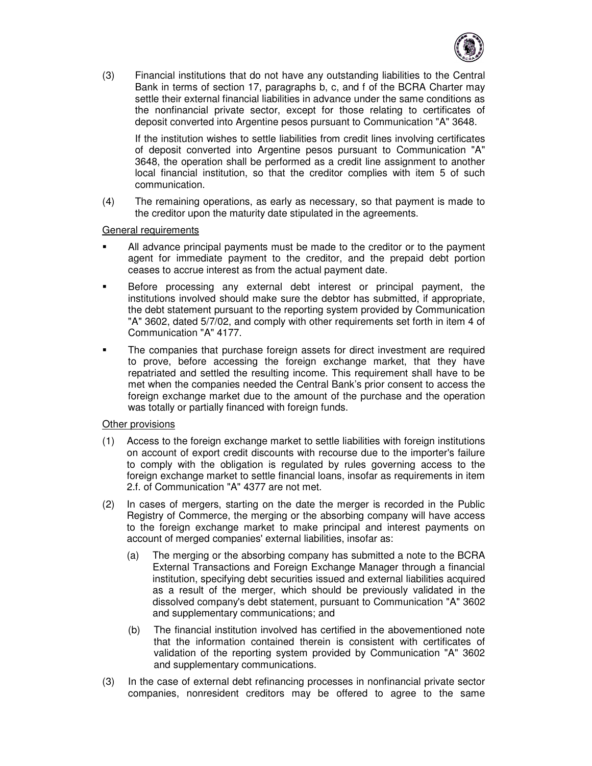

(3) Financial institutions that do not have any outstanding liabilities to the Central Bank in terms of section 17, paragraphs b, c, and f of the BCRA Charter may settle their external financial liabilities in advance under the same conditions as the nonfinancial private sector, except for those relating to certificates of deposit converted into Argentine pesos pursuant to Communication "A" 3648.

If the institution wishes to settle liabilities from credit lines involving certificates of deposit converted into Argentine pesos pursuant to Communication "A" 3648, the operation shall be performed as a credit line assignment to another local financial institution, so that the creditor complies with item 5 of such communication.

(4) The remaining operations, as early as necessary, so that payment is made to the creditor upon the maturity date stipulated in the agreements.

#### General requirements

- All advance principal payments must be made to the creditor or to the payment agent for immediate payment to the creditor, and the prepaid debt portion ceases to accrue interest as from the actual payment date.
- Before processing any external debt interest or principal payment, the institutions involved should make sure the debtor has submitted, if appropriate, the debt statement pursuant to the reporting system provided by Communication "A" 3602, dated 5/7/02, and comply with other requirements set forth in item 4 of Communication "A" 4177.
- The companies that purchase foreign assets for direct investment are required to prove, before accessing the foreign exchange market, that they have repatriated and settled the resulting income. This requirement shall have to be met when the companies needed the Central Bank's prior consent to access the foreign exchange market due to the amount of the purchase and the operation was totally or partially financed with foreign funds.

#### Other provisions

- (1) Access to the foreign exchange market to settle liabilities with foreign institutions on account of export credit discounts with recourse due to the importer's failure to comply with the obligation is regulated by rules governing access to the foreign exchange market to settle financial loans, insofar as requirements in item 2.f. of Communication "A" 4377 are not met.
- (2) In cases of mergers, starting on the date the merger is recorded in the Public Registry of Commerce, the merging or the absorbing company will have access to the foreign exchange market to make principal and interest payments on account of merged companies' external liabilities, insofar as:
	- (a) The merging or the absorbing company has submitted a note to the BCRA External Transactions and Foreign Exchange Manager through a financial institution, specifying debt securities issued and external liabilities acquired as a result of the merger, which should be previously validated in the dissolved company's debt statement, pursuant to Communication "A" 3602 and supplementary communications; and
	- (b) The financial institution involved has certified in the abovementioned note that the information contained therein is consistent with certificates of validation of the reporting system provided by Communication "A" 3602 and supplementary communications.
- (3) In the case of external debt refinancing processes in nonfinancial private sector companies, nonresident creditors may be offered to agree to the same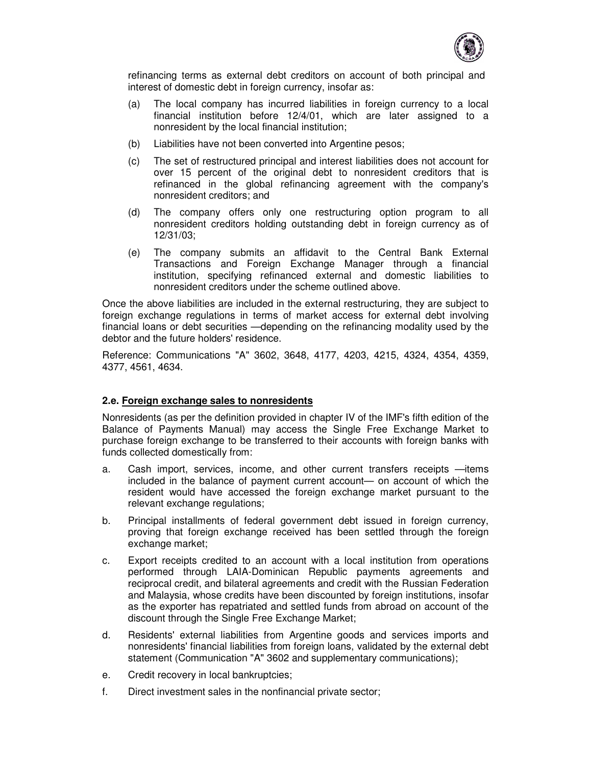

refinancing terms as external debt creditors on account of both principal and interest of domestic debt in foreign currency, insofar as:

- (a) The local company has incurred liabilities in foreign currency to a local financial institution before 12/4/01, which are later assigned to a nonresident by the local financial institution;
- (b) Liabilities have not been converted into Argentine pesos;
- (c) The set of restructured principal and interest liabilities does not account for over 15 percent of the original debt to nonresident creditors that is refinanced in the global refinancing agreement with the company's nonresident creditors; and
- (d) The company offers only one restructuring option program to all nonresident creditors holding outstanding debt in foreign currency as of 12/31/03;
- (e) The company submits an affidavit to the Central Bank External Transactions and Foreign Exchange Manager through a financial institution, specifying refinanced external and domestic liabilities to nonresident creditors under the scheme outlined above.

Once the above liabilities are included in the external restructuring, they are subject to foreign exchange regulations in terms of market access for external debt involving financial loans or debt securities —depending on the refinancing modality used by the debtor and the future holders' residence.

Reference: Communications "A" 3602, 3648, 4177, 4203, 4215, 4324, 4354, 4359, 4377, 4561, 4634.

#### **2.e. Foreign exchange sales to nonresidents**

Nonresidents (as per the definition provided in chapter IV of the IMF's fifth edition of the Balance of Payments Manual) may access the Single Free Exchange Market to purchase foreign exchange to be transferred to their accounts with foreign banks with funds collected domestically from:

- a. Cash import, services, income, and other current transfers receipts —items included in the balance of payment current account— on account of which the resident would have accessed the foreign exchange market pursuant to the relevant exchange regulations;
- b. Principal installments of federal government debt issued in foreign currency, proving that foreign exchange received has been settled through the foreign exchange market;
- c. Export receipts credited to an account with a local institution from operations performed through LAIA-Dominican Republic payments agreements and reciprocal credit, and bilateral agreements and credit with the Russian Federation and Malaysia, whose credits have been discounted by foreign institutions, insofar as the exporter has repatriated and settled funds from abroad on account of the discount through the Single Free Exchange Market;
- d. Residents' external liabilities from Argentine goods and services imports and nonresidents' financial liabilities from foreign loans, validated by the external debt statement (Communication "A" 3602 and supplementary communications);
- e. Credit recovery in local bankruptcies;
- f. Direct investment sales in the nonfinancial private sector;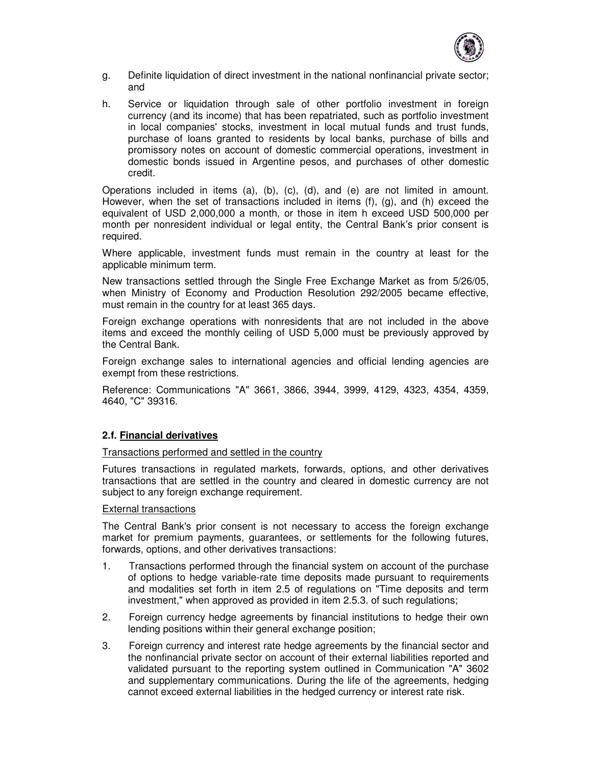

- g. Definite liquidation of direct investment in the national nonfinancial private sector; and
- h. Service or liquidation through sale of other portfolio investment in foreign currency (and its income) that has been repatriated, such as portfolio investment in local companies' stocks, investment in local mutual funds and trust funds, purchase of loans granted to residents by local banks, purchase of bills and promissory notes on account of domestic commercial operations, investment in domestic bonds issued in Argentine pesos, and purchases of other domestic credit.

Operations included in items (a), (b), (c), (d), and (e) are not limited in amount. However, when the set of transactions included in items (f), (g), and (h) exceed the equivalent of USD 2,000,000 a month, or those in item h exceed USD 500,000 per month per nonresident individual or legal entity, the Central Bank's prior consent is required.

Where applicable, investment funds must remain in the country at least for the applicable minimum term.

New transactions settled through the Single Free Exchange Market as from 5/26/05, when Ministry of Economy and Production Resolution 292/2005 became effective, must remain in the country for at least 365 days.

Foreign exchange operations with nonresidents that are not included in the above items and exceed the monthly ceiling of USD 5,000 must be previously approved by the Central Bank.

Foreign exchange sales to international agencies and official lending agencies are exempt from these restrictions.

Reference: Communications "A" 3661, 3866, 3944, 3999, 4129, 4323, 4354, 4359, 4640, "C" 39316.

### **2.f. Financial derivatives**

Transactions performed and settled in the country

Futures transactions in regulated markets, forwards, options, and other derivatives transactions that are settled in the country and cleared in domestic currency are not subject to any foreign exchange requirement.

#### External transactions

The Central Bank's prior consent is not necessary to access the foreign exchange market for premium payments, guarantees, or settlements for the following futures, forwards, options, and other derivatives transactions:

- 1. Transactions performed through the financial system on account of the purchase of options to hedge variable-rate time deposits made pursuant to requirements and modalities set forth in item 2.5 of regulations on "Time deposits and term investment," when approved as provided in item 2.5.3. of such regulations;
- 2. Foreign currency hedge agreements by financial institutions to hedge their own lending positions within their general exchange position;
- 3. Foreign currency and interest rate hedge agreements by the financial sector and the nonfinancial private sector on account of their external liabilities reported and validated pursuant to the reporting system outlined in Communication "A" 3602 and supplementary communications. During the life of the agreements, hedging cannot exceed external liabilities in the hedged currency or interest rate risk.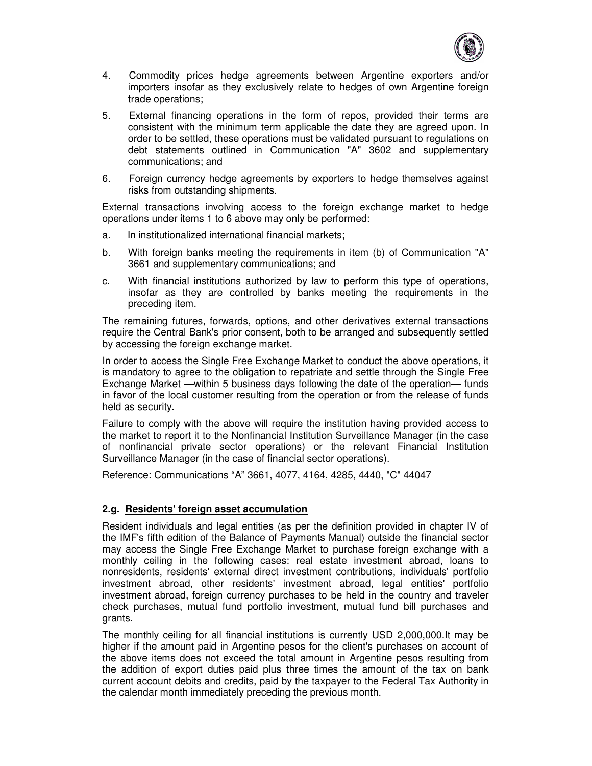

- 4. Commodity prices hedge agreements between Argentine exporters and/or importers insofar as they exclusively relate to hedges of own Argentine foreign trade operations;
- 5. External financing operations in the form of repos, provided their terms are consistent with the minimum term applicable the date they are agreed upon. In order to be settled, these operations must be validated pursuant to regulations on debt statements outlined in Communication "A" 3602 and supplementary communications; and
- 6. Foreign currency hedge agreements by exporters to hedge themselves against risks from outstanding shipments.

External transactions involving access to the foreign exchange market to hedge operations under items 1 to 6 above may only be performed:

- a. In institutionalized international financial markets;
- b. With foreign banks meeting the requirements in item (b) of Communication "A" 3661 and supplementary communications; and
- c. With financial institutions authorized by law to perform this type of operations, insofar as they are controlled by banks meeting the requirements in the preceding item.

The remaining futures, forwards, options, and other derivatives external transactions require the Central Bank's prior consent, both to be arranged and subsequently settled by accessing the foreign exchange market.

In order to access the Single Free Exchange Market to conduct the above operations, it is mandatory to agree to the obligation to repatriate and settle through the Single Free Exchange Market —within 5 business days following the date of the operation— funds in favor of the local customer resulting from the operation or from the release of funds held as security.

Failure to comply with the above will require the institution having provided access to the market to report it to the Nonfinancial Institution Surveillance Manager (in the case of nonfinancial private sector operations) or the relevant Financial Institution Surveillance Manager (in the case of financial sector operations).

Reference: Communications "A" 3661, 4077, 4164, 4285, 4440, "C" 44047

#### **2.g. Residents' foreign asset accumulation**

Resident individuals and legal entities (as per the definition provided in chapter IV of the IMF's fifth edition of the Balance of Payments Manual) outside the financial sector may access the Single Free Exchange Market to purchase foreign exchange with a monthly ceiling in the following cases: real estate investment abroad, loans to nonresidents, residents' external direct investment contributions, individuals' portfolio investment abroad, other residents' investment abroad, legal entities' portfolio investment abroad, foreign currency purchases to be held in the country and traveler check purchases, mutual fund portfolio investment, mutual fund bill purchases and grants.

The monthly ceiling for all financial institutions is currently USD 2,000,000.It may be higher if the amount paid in Argentine pesos for the client's purchases on account of the above items does not exceed the total amount in Argentine pesos resulting from the addition of export duties paid plus three times the amount of the tax on bank current account debits and credits, paid by the taxpayer to the Federal Tax Authority in the calendar month immediately preceding the previous month.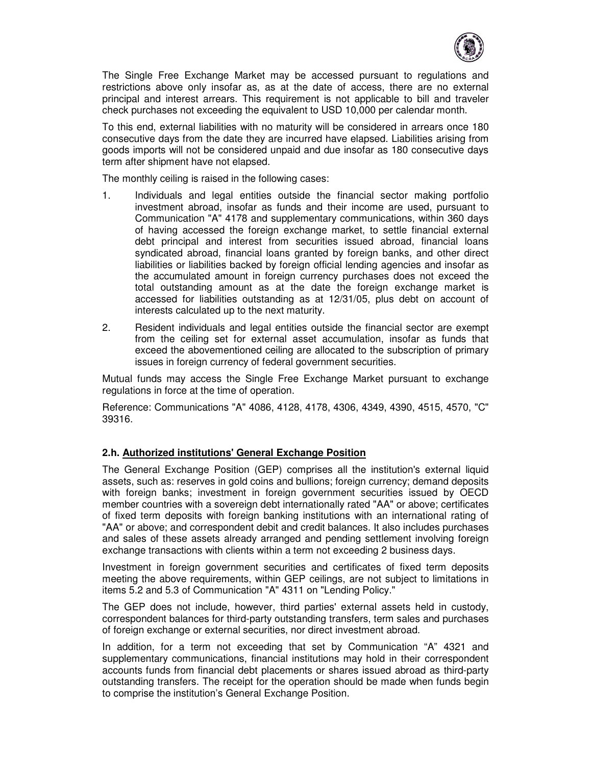

The Single Free Exchange Market may be accessed pursuant to regulations and restrictions above only insofar as, as at the date of access, there are no external principal and interest arrears. This requirement is not applicable to bill and traveler check purchases not exceeding the equivalent to USD 10,000 per calendar month.

To this end, external liabilities with no maturity will be considered in arrears once 180 consecutive days from the date they are incurred have elapsed. Liabilities arising from goods imports will not be considered unpaid and due insofar as 180 consecutive days term after shipment have not elapsed.

The monthly ceiling is raised in the following cases:

- 1. Individuals and legal entities outside the financial sector making portfolio investment abroad, insofar as funds and their income are used, pursuant to Communication "A" 4178 and supplementary communications, within 360 days of having accessed the foreign exchange market, to settle financial external debt principal and interest from securities issued abroad, financial loans syndicated abroad, financial loans granted by foreign banks, and other direct liabilities or liabilities backed by foreign official lending agencies and insofar as the accumulated amount in foreign currency purchases does not exceed the total outstanding amount as at the date the foreign exchange market is accessed for liabilities outstanding as at 12/31/05, plus debt on account of interests calculated up to the next maturity.
- 2. Resident individuals and legal entities outside the financial sector are exempt from the ceiling set for external asset accumulation, insofar as funds that exceed the abovementioned ceiling are allocated to the subscription of primary issues in foreign currency of federal government securities.

Mutual funds may access the Single Free Exchange Market pursuant to exchange regulations in force at the time of operation.

Reference: Communications "A" 4086, 4128, 4178, 4306, 4349, 4390, 4515, 4570, "C" 39316.

### **2.h. Authorized institutions' General Exchange Position**

The General Exchange Position (GEP) comprises all the institution's external liquid assets, such as: reserves in gold coins and bullions; foreign currency; demand deposits with foreign banks; investment in foreign government securities issued by OECD member countries with a sovereign debt internationally rated "AA" or above; certificates of fixed term deposits with foreign banking institutions with an international rating of "AA" or above; and correspondent debit and credit balances. It also includes purchases and sales of these assets already arranged and pending settlement involving foreign exchange transactions with clients within a term not exceeding 2 business days.

Investment in foreign government securities and certificates of fixed term deposits meeting the above requirements, within GEP ceilings, are not subject to limitations in items 5.2 and 5.3 of Communication "A" 4311 on "Lending Policy."

The GEP does not include, however, third parties' external assets held in custody, correspondent balances for third-party outstanding transfers, term sales and purchases of foreign exchange or external securities, nor direct investment abroad.

In addition, for a term not exceeding that set by Communication "A" 4321 and supplementary communications, financial institutions may hold in their correspondent accounts funds from financial debt placements or shares issued abroad as third-party outstanding transfers. The receipt for the operation should be made when funds begin to comprise the institution's General Exchange Position.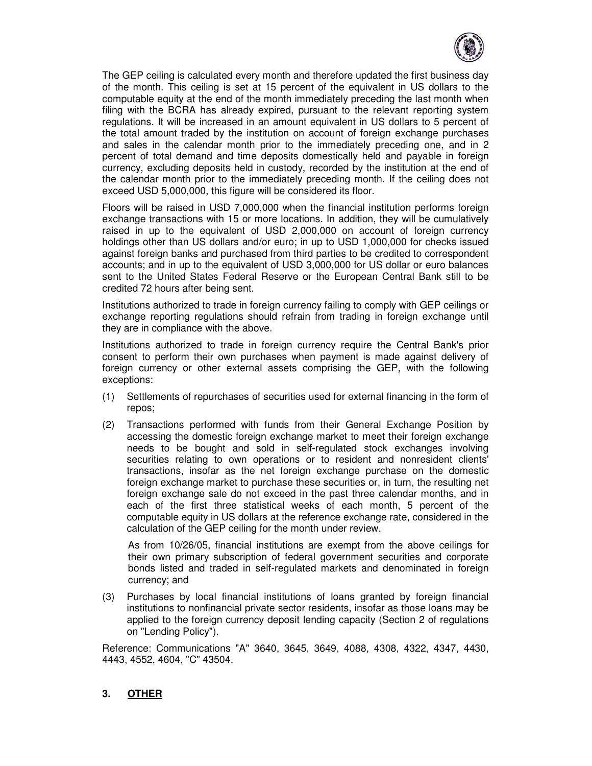

The GEP ceiling is calculated every month and therefore updated the first business day of the month. This ceiling is set at 15 percent of the equivalent in US dollars to the computable equity at the end of the month immediately preceding the last month when filing with the BCRA has already expired, pursuant to the relevant reporting system regulations. It will be increased in an amount equivalent in US dollars to 5 percent of the total amount traded by the institution on account of foreign exchange purchases and sales in the calendar month prior to the immediately preceding one, and in 2 percent of total demand and time deposits domestically held and payable in foreign currency, excluding deposits held in custody, recorded by the institution at the end of the calendar month prior to the immediately preceding month. If the ceiling does not exceed USD 5,000,000, this figure will be considered its floor.

Floors will be raised in USD 7,000,000 when the financial institution performs foreign exchange transactions with 15 or more locations. In addition, they will be cumulatively raised in up to the equivalent of USD 2,000,000 on account of foreign currency holdings other than US dollars and/or euro; in up to USD 1,000,000 for checks issued against foreign banks and purchased from third parties to be credited to correspondent accounts; and in up to the equivalent of USD 3,000,000 for US dollar or euro balances sent to the United States Federal Reserve or the European Central Bank still to be credited 72 hours after being sent.

Institutions authorized to trade in foreign currency failing to comply with GEP ceilings or exchange reporting regulations should refrain from trading in foreign exchange until they are in compliance with the above.

Institutions authorized to trade in foreign currency require the Central Bank's prior consent to perform their own purchases when payment is made against delivery of foreign currency or other external assets comprising the GEP, with the following exceptions:

- (1) Settlements of repurchases of securities used for external financing in the form of repos;
- (2) Transactions performed with funds from their General Exchange Position by accessing the domestic foreign exchange market to meet their foreign exchange needs to be bought and sold in self-regulated stock exchanges involving securities relating to own operations or to resident and nonresident clients' transactions, insofar as the net foreign exchange purchase on the domestic foreign exchange market to purchase these securities or, in turn, the resulting net foreign exchange sale do not exceed in the past three calendar months, and in each of the first three statistical weeks of each month, 5 percent of the computable equity in US dollars at the reference exchange rate, considered in the calculation of the GEP ceiling for the month under review.

As from 10/26/05, financial institutions are exempt from the above ceilings for their own primary subscription of federal government securities and corporate bonds listed and traded in self-regulated markets and denominated in foreign currency; and

(3) Purchases by local financial institutions of loans granted by foreign financial institutions to nonfinancial private sector residents, insofar as those loans may be applied to the foreign currency deposit lending capacity (Section 2 of regulations on "Lending Policy").

Reference: Communications "A" 3640, 3645, 3649, 4088, 4308, 4322, 4347, 4430, 4443, 4552, 4604, "C" 43504.

### **3. OTHER**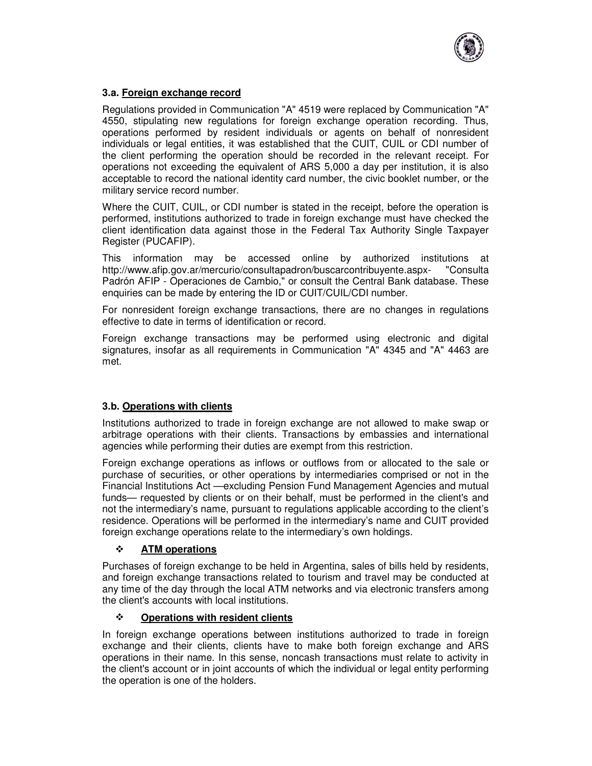

# **3.a. Foreign exchange record**

Regulations provided in Communication "A" 4519 were replaced by Communication "A" 4550, stipulating new regulations for foreign exchange operation recording. Thus, operations performed by resident individuals or agents on behalf of nonresident individuals or legal entities, it was established that the CUIT, CUIL or CDI number of the client performing the operation should be recorded in the relevant receipt. For operations not exceeding the equivalent of ARS 5,000 a day per institution, it is also acceptable to record the national identity card number, the civic booklet number, or the military service record number.

Where the CUIT, CUIL, or CDI number is stated in the receipt, before the operation is performed, institutions authorized to trade in foreign exchange must have checked the client identification data against those in the Federal Tax Authority Single Taxpayer Register (PUCAFIP).

This information may be accessed online by authorized institutions at http://www.afip.gov.ar/mercurio/consultapadron/buscarcontribuyente.aspx- "Consulta Padrón AFIP - Operaciones de Cambio," or consult the Central Bank database. These enquiries can be made by entering the ID or CUIT/CUIL/CDI number.

For nonresident foreign exchange transactions, there are no changes in regulations effective to date in terms of identification or record.

Foreign exchange transactions may be performed using electronic and digital signatures, insofar as all requirements in Communication "A" 4345 and "A" 4463 are met.

### **3.b. Operations with clients**

Institutions authorized to trade in foreign exchange are not allowed to make swap or arbitrage operations with their clients. Transactions by embassies and international agencies while performing their duties are exempt from this restriction.

Foreign exchange operations as inflows or outflows from or allocated to the sale or purchase of securities, or other operations by intermediaries comprised or not in the Financial Institutions Act —excluding Pension Fund Management Agencies and mutual funds— requested by clients or on their behalf, must be performed in the client's and not the intermediary's name, pursuant to regulations applicable according to the client's residence. Operations will be performed in the intermediary's name and CUIT provided foreign exchange operations relate to the intermediary's own holdings.

### **ATM operations**

Purchases of foreign exchange to be held in Argentina, sales of bills held by residents, and foreign exchange transactions related to tourism and travel may be conducted at any time of the day through the local ATM networks and via electronic transfers among the client's accounts with local institutions.

### **Operations with resident clients**

In foreign exchange operations between institutions authorized to trade in foreign exchange and their clients, clients have to make both foreign exchange and ARS operations in their name. In this sense, noncash transactions must relate to activity in the client's account or in joint accounts of which the individual or legal entity performing the operation is one of the holders.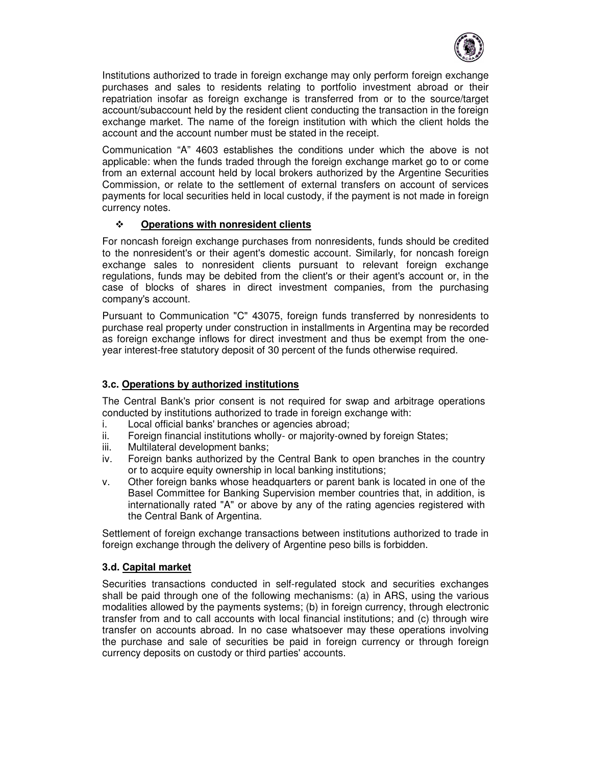

Institutions authorized to trade in foreign exchange may only perform foreign exchange purchases and sales to residents relating to portfolio investment abroad or their repatriation insofar as foreign exchange is transferred from or to the source/target account/subaccount held by the resident client conducting the transaction in the foreign exchange market. The name of the foreign institution with which the client holds the account and the account number must be stated in the receipt.

Communication "A" 4603 establishes the conditions under which the above is not applicable: when the funds traded through the foreign exchange market go to or come from an external account held by local brokers authorized by the Argentine Securities Commission, or relate to the settlement of external transfers on account of services payments for local securities held in local custody, if the payment is not made in foreign currency notes.

# **Operations with nonresident clients**

For noncash foreign exchange purchases from nonresidents, funds should be credited to the nonresident's or their agent's domestic account. Similarly, for noncash foreign exchange sales to nonresident clients pursuant to relevant foreign exchange regulations, funds may be debited from the client's or their agent's account or, in the case of blocks of shares in direct investment companies, from the purchasing company's account.

Pursuant to Communication "C" 43075, foreign funds transferred by nonresidents to purchase real property under construction in installments in Argentina may be recorded as foreign exchange inflows for direct investment and thus be exempt from the oneyear interest-free statutory deposit of 30 percent of the funds otherwise required.

# **3.c. Operations by authorized institutions**

The Central Bank's prior consent is not required for swap and arbitrage operations conducted by institutions authorized to trade in foreign exchange with:

- i. Local official banks' branches or agencies abroad;
- ii. Foreign financial institutions wholly- or majority-owned by foreign States;
- iii. Multilateral development banks;
- iv. Foreign banks authorized by the Central Bank to open branches in the country or to acquire equity ownership in local banking institutions;
- v. Other foreign banks whose headquarters or parent bank is located in one of the Basel Committee for Banking Supervision member countries that, in addition, is internationally rated "A" or above by any of the rating agencies registered with the Central Bank of Argentina.

Settlement of foreign exchange transactions between institutions authorized to trade in foreign exchange through the delivery of Argentine peso bills is forbidden.

### **3.d. Capital market**

Securities transactions conducted in self-regulated stock and securities exchanges shall be paid through one of the following mechanisms: (a) in ARS, using the various modalities allowed by the payments systems; (b) in foreign currency, through electronic transfer from and to call accounts with local financial institutions; and (c) through wire transfer on accounts abroad. In no case whatsoever may these operations involving the purchase and sale of securities be paid in foreign currency or through foreign currency deposits on custody or third parties' accounts.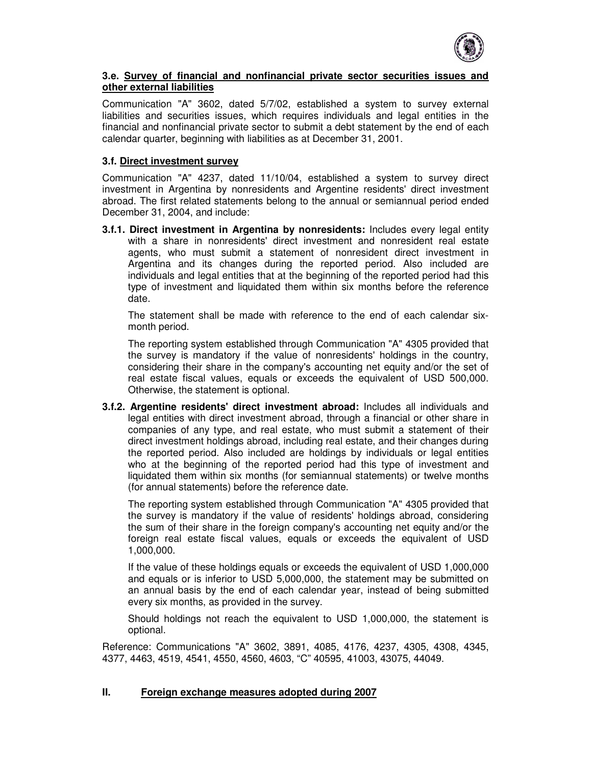

#### **3.e. Survey of financial and nonfinancial private sector securities issues and other external liabilities**

Communication "A" 3602, dated 5/7/02, established a system to survey external liabilities and securities issues, which requires individuals and legal entities in the financial and nonfinancial private sector to submit a debt statement by the end of each calendar quarter, beginning with liabilities as at December 31, 2001.

### **3.f. Direct investment survey**

Communication "A" 4237, dated 11/10/04, established a system to survey direct investment in Argentina by nonresidents and Argentine residents' direct investment abroad. The first related statements belong to the annual or semiannual period ended December 31, 2004, and include:

**3.f.1. Direct investment in Argentina by nonresidents:** Includes every legal entity with a share in nonresidents' direct investment and nonresident real estate agents, who must submit a statement of nonresident direct investment in Argentina and its changes during the reported period. Also included are individuals and legal entities that at the beginning of the reported period had this type of investment and liquidated them within six months before the reference date.

The statement shall be made with reference to the end of each calendar sixmonth period.

The reporting system established through Communication "A" 4305 provided that the survey is mandatory if the value of nonresidents' holdings in the country, considering their share in the company's accounting net equity and/or the set of real estate fiscal values, equals or exceeds the equivalent of USD 500,000. Otherwise, the statement is optional.

**3.f.2. Argentine residents' direct investment abroad:** Includes all individuals and legal entities with direct investment abroad, through a financial or other share in companies of any type, and real estate, who must submit a statement of their direct investment holdings abroad, including real estate, and their changes during the reported period. Also included are holdings by individuals or legal entities who at the beginning of the reported period had this type of investment and liquidated them within six months (for semiannual statements) or twelve months (for annual statements) before the reference date.

The reporting system established through Communication "A" 4305 provided that the survey is mandatory if the value of residents' holdings abroad, considering the sum of their share in the foreign company's accounting net equity and/or the foreign real estate fiscal values, equals or exceeds the equivalent of USD 1,000,000.

If the value of these holdings equals or exceeds the equivalent of USD 1,000,000 and equals or is inferior to USD 5,000,000, the statement may be submitted on an annual basis by the end of each calendar year, instead of being submitted every six months, as provided in the survey.

Should holdings not reach the equivalent to USD 1,000,000, the statement is optional.

Reference: Communications "A" 3602, 3891, 4085, 4176, 4237, 4305, 4308, 4345, 4377, 4463, 4519, 4541, 4550, 4560, 4603, "C" 40595, 41003, 43075, 44049.

### **II. Foreign exchange measures adopted during 2007**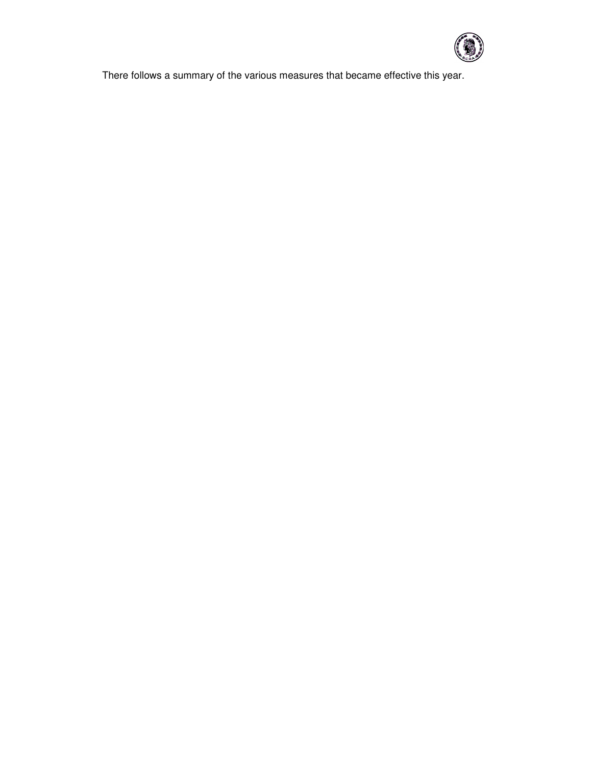

There follows a summary of the various measures that became effective this year.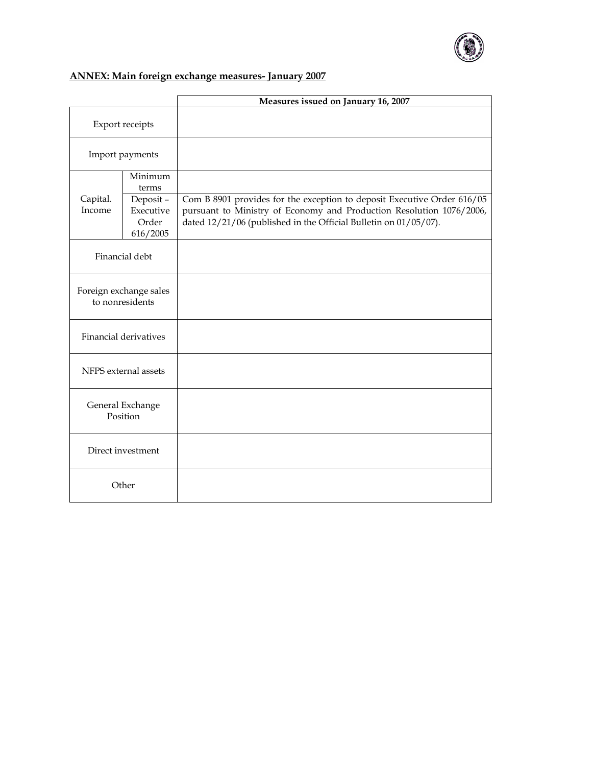

# ANNEX: Main foreign exchange measures- January 2007

|                                           |                                            | Measures issued on January 16, 2007                                                                                                                                                                                 |
|-------------------------------------------|--------------------------------------------|---------------------------------------------------------------------------------------------------------------------------------------------------------------------------------------------------------------------|
| Export receipts                           |                                            |                                                                                                                                                                                                                     |
| Import payments                           |                                            |                                                                                                                                                                                                                     |
|                                           | Minimum<br>terms                           |                                                                                                                                                                                                                     |
| Capital.<br>Income                        | Deposit-<br>Executive<br>Order<br>616/2005 | Com B 8901 provides for the exception to deposit Executive Order 616/05<br>pursuant to Ministry of Economy and Production Resolution 1076/2006,<br>dated 12/21/06 (published in the Official Bulletin on 01/05/07). |
| Financial debt                            |                                            |                                                                                                                                                                                                                     |
| Foreign exchange sales<br>to nonresidents |                                            |                                                                                                                                                                                                                     |
| <b>Financial derivatives</b>              |                                            |                                                                                                                                                                                                                     |
| NFPS external assets                      |                                            |                                                                                                                                                                                                                     |
| General Exchange<br>Position              |                                            |                                                                                                                                                                                                                     |
| Direct investment                         |                                            |                                                                                                                                                                                                                     |
| Other                                     |                                            |                                                                                                                                                                                                                     |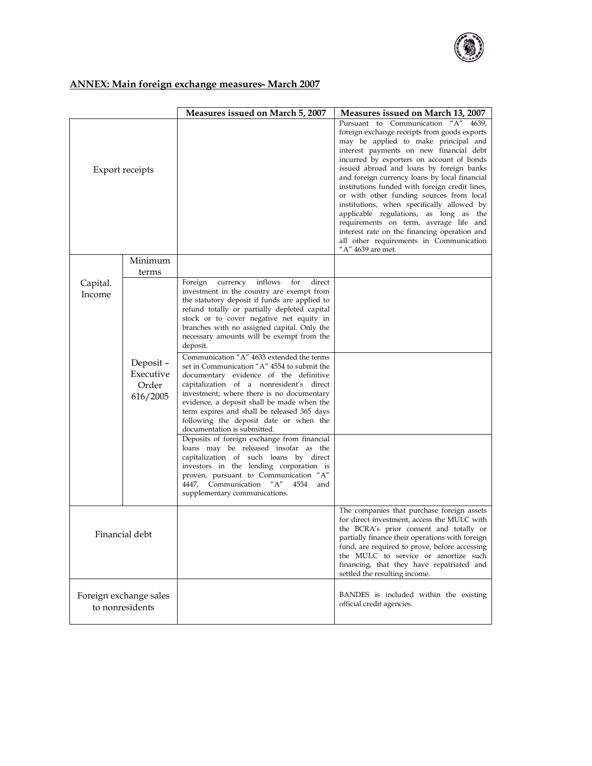

# ANNEX: Main foreign exchange measures- March 2007

|                                           |                                            | Measures issued on March 5, 2007                                                                                                                                                                                                                                                                                                                                                                                                                                                                                                                                                                                                                                                                                                                                                                                                                                                                                                                                                                                                                       | Measures issued on March 13, 2007                                                                                                                                                                                                                                                                                                                                                                                                                                                                                                                                                                                                                                |
|-------------------------------------------|--------------------------------------------|--------------------------------------------------------------------------------------------------------------------------------------------------------------------------------------------------------------------------------------------------------------------------------------------------------------------------------------------------------------------------------------------------------------------------------------------------------------------------------------------------------------------------------------------------------------------------------------------------------------------------------------------------------------------------------------------------------------------------------------------------------------------------------------------------------------------------------------------------------------------------------------------------------------------------------------------------------------------------------------------------------------------------------------------------------|------------------------------------------------------------------------------------------------------------------------------------------------------------------------------------------------------------------------------------------------------------------------------------------------------------------------------------------------------------------------------------------------------------------------------------------------------------------------------------------------------------------------------------------------------------------------------------------------------------------------------------------------------------------|
| <b>Export receipts</b>                    |                                            |                                                                                                                                                                                                                                                                                                                                                                                                                                                                                                                                                                                                                                                                                                                                                                                                                                                                                                                                                                                                                                                        | Pursuant to Communication "A" 4639,<br>foreign exchange receipts from goods exports<br>may be applied to make principal and<br>interest payments on new financial debt<br>incurred by exporters on account of bonds<br>issued abroad and loans by foreign banks<br>and foreign currency loans by local financial<br>institutions funded with foreign credit lines,<br>or with other funding sources from local<br>institutions, when specifically allowed by<br>applicable regulations, as long as the<br>requirements on term, average life and<br>interest rate on the financing operation and<br>all other requirements in Communication<br>"A" 4639 are met. |
|                                           | Minimum                                    |                                                                                                                                                                                                                                                                                                                                                                                                                                                                                                                                                                                                                                                                                                                                                                                                                                                                                                                                                                                                                                                        |                                                                                                                                                                                                                                                                                                                                                                                                                                                                                                                                                                                                                                                                  |
|                                           | terms                                      |                                                                                                                                                                                                                                                                                                                                                                                                                                                                                                                                                                                                                                                                                                                                                                                                                                                                                                                                                                                                                                                        |                                                                                                                                                                                                                                                                                                                                                                                                                                                                                                                                                                                                                                                                  |
| Capital.<br>Income                        | Deposit-<br>Executive<br>Order<br>616/2005 | inflows<br>for<br>direct<br>Foreign<br>currency<br>investment in the country are exempt from<br>the statutory deposit if funds are applied to<br>refund totally or partially depleted capital<br>stock or to cover negative net equity in<br>branches with no assigned capital. Only the<br>necessary amounts will be exempt from the<br>deposit.<br>Communication "A" 4633 extended the terms<br>set in Communication "A" 4554 to submit the<br>documentary evidence of the definitive<br>capitalization of a nonresident's direct<br>investment; where there is no documentary<br>evidence, a deposit shall be made when the<br>term expires and shall be released 365 days<br>following the deposit date or when the<br>documentation is submitted.<br>Deposits of foreign exchange from financial<br>loans may be released insofar as the<br>capitalization of such loans by direct<br>investors in the lending corporation is<br>proven, pursuant to Communication "A"<br>4447, Communication "A"<br>4554<br>and<br>supplementary communications. |                                                                                                                                                                                                                                                                                                                                                                                                                                                                                                                                                                                                                                                                  |
| Financial debt                            |                                            |                                                                                                                                                                                                                                                                                                                                                                                                                                                                                                                                                                                                                                                                                                                                                                                                                                                                                                                                                                                                                                                        | The companies that purchase foreign assets<br>for direct investment, access the MULC with<br>the BCRA's prior consent and totally or<br>partially finance their operations with foreign<br>fund, are required to prove, before accessing<br>the MULC to service or amortize such<br>financing, that they have repatriated and<br>settled the resulting income.                                                                                                                                                                                                                                                                                                   |
| Foreign exchange sales<br>to nonresidents |                                            |                                                                                                                                                                                                                                                                                                                                                                                                                                                                                                                                                                                                                                                                                                                                                                                                                                                                                                                                                                                                                                                        | BANDES is included within the existing<br>official credit agencies.                                                                                                                                                                                                                                                                                                                                                                                                                                                                                                                                                                                              |